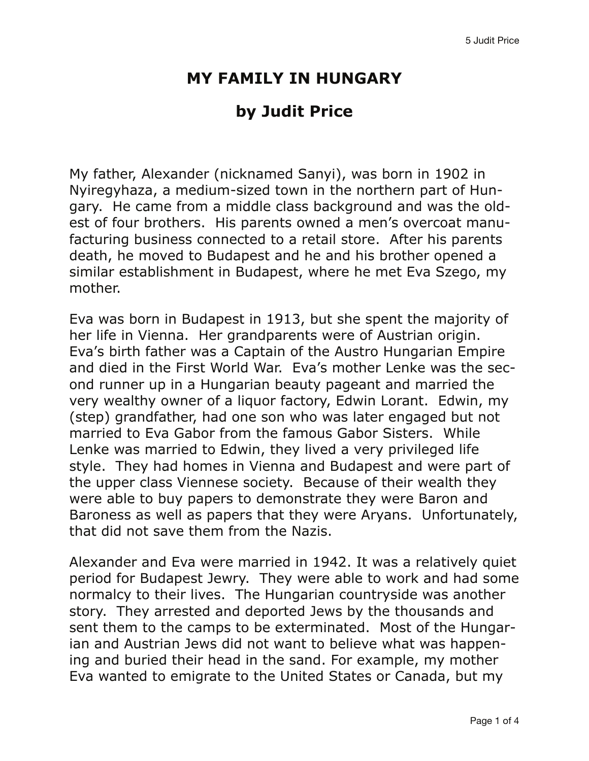## **MY FAMILY IN HUNGARY**

## **by Judit Price**

My father, Alexander (nicknamed Sanyi), was born in 1902 in Nyiregyhaza, a medium-sized town in the northern part of Hungary. He came from a middle class background and was the oldest of four brothers. His parents owned a men's overcoat manufacturing business connected to a retail store. After his parents death, he moved to Budapest and he and his brother opened a similar establishment in Budapest, where he met Eva Szego, my mother.

Eva was born in Budapest in 1913, but she spent the majority of her life in Vienna. Her grandparents were of Austrian origin. Eva's birth father was a Captain of the Austro Hungarian Empire and died in the First World War. Eva's mother Lenke was the second runner up in a Hungarian beauty pageant and married the very wealthy owner of a liquor factory, Edwin Lorant. Edwin, my (step) grandfather, had one son who was later engaged but not married to Eva Gabor from the famous Gabor Sisters. While Lenke was married to Edwin, they lived a very privileged life style. They had homes in Vienna and Budapest and were part of the upper class Viennese society. Because of their wealth they were able to buy papers to demonstrate they were Baron and Baroness as well as papers that they were Aryans. Unfortunately, that did not save them from the Nazis.

Alexander and Eva were married in 1942. It was a relatively quiet period for Budapest Jewry. They were able to work and had some normalcy to their lives. The Hungarian countryside was another story. They arrested and deported Jews by the thousands and sent them to the camps to be exterminated. Most of the Hungarian and Austrian Jews did not want to believe what was happening and buried their head in the sand. For example, my mother Eva wanted to emigrate to the United States or Canada, but my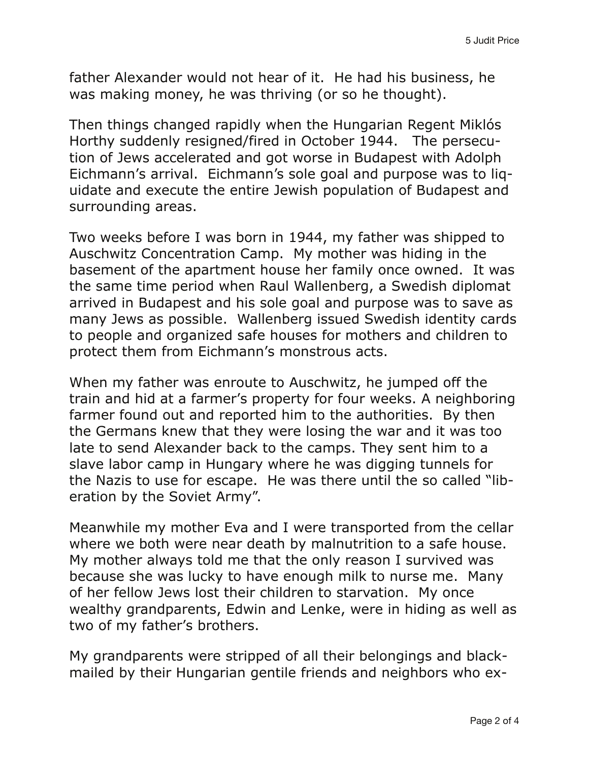father Alexander would not hear of it. He had his business, he was making money, he was thriving (or so he thought).

Then things changed rapidly when the Hungarian Regent Miklós Horthy suddenly resigned/fired in October 1944. The persecution of Jews accelerated and got worse in Budapest with Adolph Eichmann's arrival. Eichmann's sole goal and purpose was to liquidate and execute the entire Jewish population of Budapest and surrounding areas.

Two weeks before I was born in 1944, my father was shipped to Auschwitz Concentration Camp. My mother was hiding in the basement of the apartment house her family once owned. It was the same time period when Raul Wallenberg, a Swedish diplomat arrived in Budapest and his sole goal and purpose was to save as many Jews as possible. Wallenberg issued Swedish identity cards to people and organized safe houses for mothers and children to protect them from Eichmann's monstrous acts.

When my father was enroute to Auschwitz, he jumped off the train and hid at a farmer's property for four weeks. A neighboring farmer found out and reported him to the authorities. By then the Germans knew that they were losing the war and it was too late to send Alexander back to the camps. They sent him to a slave labor camp in Hungary where he was digging tunnels for the Nazis to use for escape. He was there until the so called "liberation by the Soviet Army".

Meanwhile my mother Eva and I were transported from the cellar where we both were near death by malnutrition to a safe house. My mother always told me that the only reason I survived was because she was lucky to have enough milk to nurse me. Many of her fellow Jews lost their children to starvation. My once wealthy grandparents, Edwin and Lenke, were in hiding as well as two of my father's brothers.

My grandparents were stripped of all their belongings and blackmailed by their Hungarian gentile friends and neighbors who ex-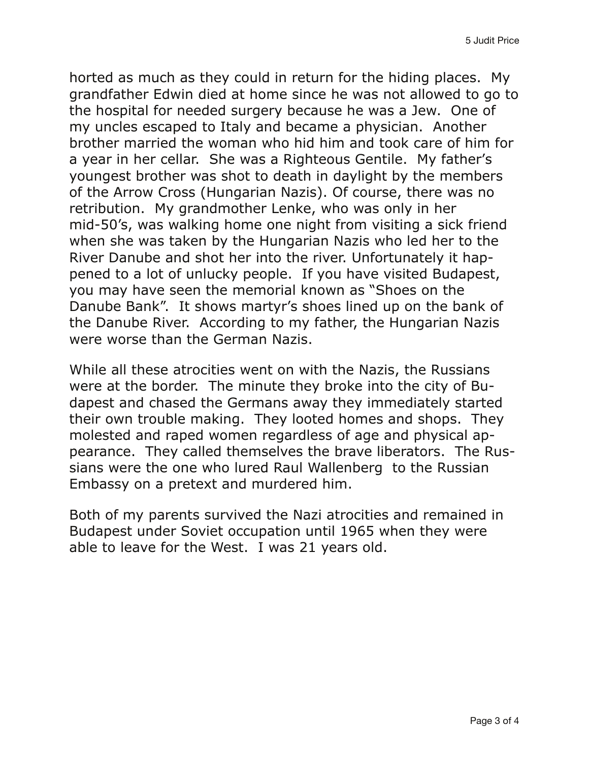horted as much as they could in return for the hiding places. My grandfather Edwin died at home since he was not allowed to go to the hospital for needed surgery because he was a Jew. One of my uncles escaped to Italy and became a physician. Another brother married the woman who hid him and took care of him for a year in her cellar. She was a Righteous Gentile. My father's youngest brother was shot to death in daylight by the members of the Arrow Cross (Hungarian Nazis). Of course, there was no retribution. My grandmother Lenke, who was only in her mid-50's, was walking home one night from visiting a sick friend when she was taken by the Hungarian Nazis who led her to the River Danube and shot her into the river. Unfortunately it happened to a lot of unlucky people. If you have visited Budapest, you may have seen the memorial known as "Shoes on the Danube Bank". It shows martyr's shoes lined up on the bank of the Danube River. According to my father, the Hungarian Nazis were worse than the German Nazis.

While all these atrocities went on with the Nazis, the Russians were at the border. The minute they broke into the city of Budapest and chased the Germans away they immediately started their own trouble making. They looted homes and shops. They molested and raped women regardless of age and physical appearance. They called themselves the brave liberators. The Russians were the one who lured Raul Wallenberg to the Russian Embassy on a pretext and murdered him.

Both of my parents survived the Nazi atrocities and remained in Budapest under Soviet occupation until 1965 when they were able to leave for the West. I was 21 years old.